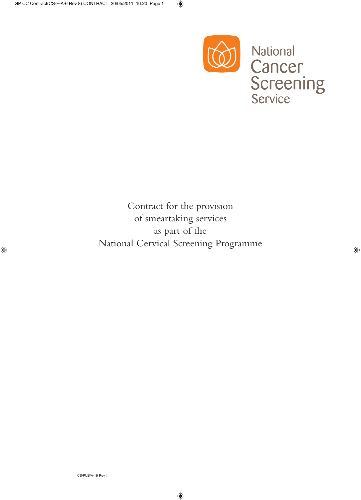

Contract for the provision of smeartaking services as part of the National Cervical Screening Programme

◈

۱

 $\color{red} \diamond$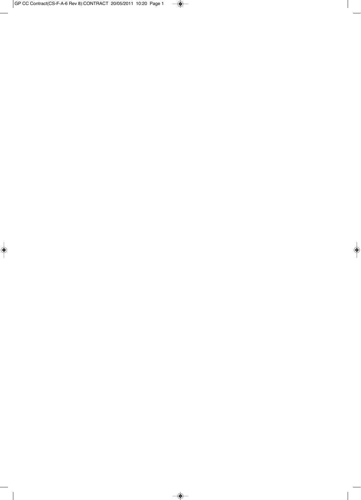GP CC Contract(CS-F-A-6 Rev 8):CONTRACT 20/05/2011 10:20 Page 1

 $\Rightarrow$ 

 $\sim$  1

 $\overline{\bullet}$ 

 $\overline{\bullet}$ 

 $\Rightarrow$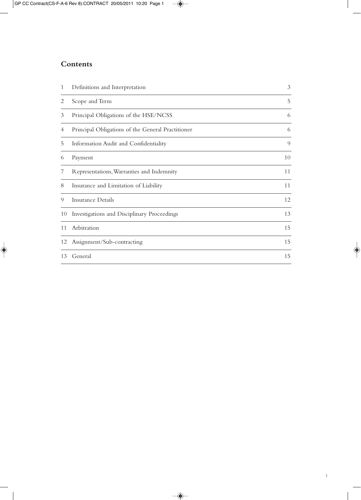# **Contents**

 $\bigcirc$ 

| 1  | Definitions and Interpretation                    | 3  |
|----|---------------------------------------------------|----|
| 2  | Scope and Term                                    | 5  |
| 3  | Principal Obligations of the HSE/NCSS             | 6  |
| 4  | Principal Obligations of the General Practitioner | 6  |
| 5  | Information Audit and Confidentiality             | 9  |
| 6  | Payment                                           | 10 |
| 7  | Representations, Warranties and Indemnity         | 11 |
| 8  | Insurance and Limitation of Liability             | 11 |
| 9  | Insurance Details                                 | 12 |
| 10 | Investigations and Disciplinary Proceedings       | 13 |
| 11 | Arbitration                                       | 15 |
| 12 | Assignment/Sub-contracting                        | 15 |
| 13 | General                                           | 15 |

 $\bigcirc$ 

1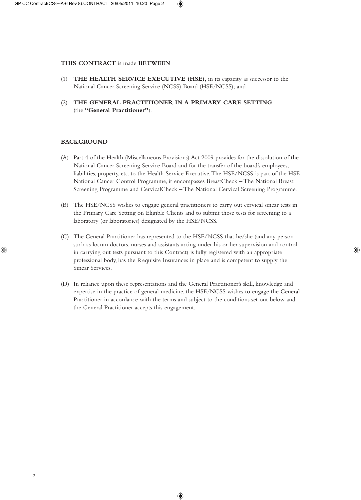#### **THIS CONTRACT** is made **BETWEEN**

- (1) **THE HEALTH SERVICE EXECUTIVE (HSE),** in its capacity as successor to the National Cancer Screening Service (NCSS) Board (HSE/NCSS); and
- (2) **THE GENERAL PRACTITIONER IN A PRIMARY CARE SETTING** (the **"General Practitioner"**).

#### **BACKGROUND**

- (A) Part 4 of the Health (Miscellaneous Provisions) Act 2009 provides for the dissolution of the National Cancer Screening Service Board and for the transfer of the board's employees, liabilities, property, etc. to the Health Service Executive.The HSE/NCSS is part of the HSE National Cancer Control Programme, it encompasses BreastCheck – The National Breast Screening Programme and CervicalCheck – The National Cervical Screening Programme.
- (B) The HSE/NCSS wishes to engage general practitioners to carry out cervical smear tests in the Primary Care Setting on Eligible Clients and to submit those tests for screening to a laboratory (or laboratories) designated by the HSE/NCSS.
- (C) The General Practitioner has represented to the HSE/NCSS that he/she (and any person such as locum doctors, nurses and assistants acting under his or her supervision and control in carrying out tests pursuant to this Contract) is fully registered with an appropriate professional body, has the Requisite Insurances in place and is competent to supply the Smear Services.
- (D) In reliance upon these representations and the General Practitioner's skill, knowledge and expertise in the practice of general medicine, the HSE/NCSS wishes to engage the General Practitioner in accordance with the terms and subject to the conditions set out below and the General Practitioner accepts this engagement.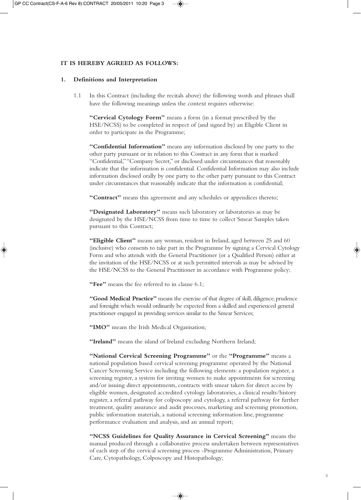#### **IT IS HEREBY AGREED AS FOLLOWS:**

#### **1. Definitions and Interpretation**

1.1 In this Contract (including the recitals above) the following words and phrases shall have the following meanings unless the context requires otherwise:

**"Cervical Cytology Form"** means a form (in a format prescribed by the HSE/NCSS) to be completed in respect of (and signed by) an Eligible Client in order to participate in the Programme;

**"Confidential Information"** means any information disclosed by one party to the other party pursuant or in relation to this Contract in any form that is marked "Confidential,""Company Secret," or disclosed under circumstances that reasonably indicate that the information is confidential. Confidential Information may also include information disclosed orally by one party to the other party pursuant to this Contract under circumstances that reasonably indicate that the information is confidential;

**"Contract"** means this agreement and any schedules or appendices thereto;

**"Designated Laboratory"** means such laboratory or laboratories as may be designated by the HSE/NCSS from time to time to collect Smear Samples taken pursuant to this Contract;

"Eligible Client" means any woman, resident in Ireland, aged between 25 and 60 (inclusive) who consents to take part in the Programme by signing a Cervical Cytology Form and who attends with the General Practitioner (or a Qualified Person) either at the invitation of the HSE/NCSS or at such permitted intervals as may be advised by the HSE/NCSS to the General Practitioner in accordance with Programme policy;

**"Fee"** means the fee referred to in clause 6.1;

**"Good Medical Practice"** means the exercise of that degree of skill, diligence, prudence and foresight which would ordinarily be expected from a skilled and experienced general practitioner engaged in providing services similar to the Smear Services;

"IMO" means the Irish Medical Organisation;

**"Ireland"** means the island of Ireland excluding Northern Ireland;

**"National Cervical Screening Programme"** or the **"Programme"** means a national population based cervical screening programme operated by the National Cancer Screening Service including the following elements: a population register, a screening register, a system for inviting women to make appointments for screening and/or issuing direct appointments, contracts with smear takers for direct access by eligible women, designated accredited cytology laboratories, a clinical results/history register, a referral pathway for colposcopy and cytology, a referral pathway for further treatment, quality assurance and audit processes, marketing and screening promotion, public information materials, a national screening information line, programme performance evaluation and analysis, and an annual report;

**"NCSS Guidelines for Quality Assurance in Cervical Screening"** means the manual produced through a collaborative process undertaken between representatives of each step of the cervical screening process -Programme Administration, Primary Care, Cytopathology, Colposcopy and Histopathology;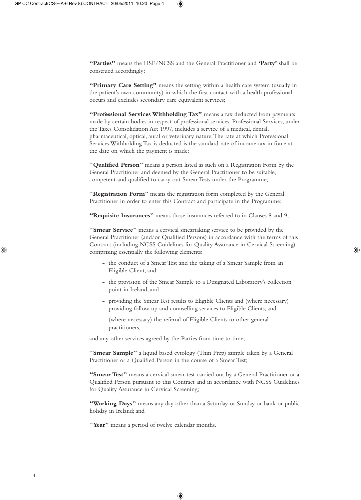**"Parties"** means the HSE/NCSS and the General Practitioner and **'Party'** shall be construed accordingly;

**"Primary Care Setting"** means the setting within a health care system (usually in the patient's own community) in which the first contact with a health professional occurs and excludes secondary care equivalent services;

**"Professional Services Withholding Tax"** means a tax deducted from payments made by certain bodies in respect of professional services. Professional Services, under the Taxes Consolidation Act 1997, includes a service of a medical, dental, pharmaceutical, optical, aural or veterinary nature.The rate at which Professional Services Withholding Tax is deducted is the standard rate of income tax in force at the date on which the payment is made;

**"Qualified Person"** means a person listed as such on a Registration Form by the General Practitioner and deemed by the General Practitioner to be suitable, competent and qualified to carry out Smear Tests under the Programme;

**"Registration Form"** means the registration form completed by the General Practitioner in order to enter this Contract and participate in the Programme;

**"Requisite Insurances"** means those insurances referred to in Clauses 8 and 9;

**"Smear Service"** means a cervical smeartaking service to be provided by the General Practitioner (and/or Qualified Persons) in accordance with the terms of this Contract (including NCSS Guidelines for Quality Assurance in Cervical Screening) comprising essentially the following elements:

- the conduct of a Smear Test and the taking of a Smear Sample from an Eligible Client; and
- the provision of the Smear Sample to a Designated Laboratory's collection point in Ireland, and
- providing the Smear Test results to Eligible Clients and (where necessary) providing follow up and counselling services to Eligible Clients; and
- (where necessary) the referral of Eligible Clients to other general practitioners,

and any other services agreed by the Parties from time to time;

**"Smear Sample"** a liquid based cytology (Thin Prep) sample taken by a General Practitioner or a Qualified Person in the course of a Smear Test;

**"Smear Test"** means a cervical smear test carried out by a General Practitioner or a Qualified Person pursuant to this Contract and in accordance with NCSS Guidelines for Quality Assurance in Cervical Screening;

**"Working Days"** means any day other than a Saturday or Sunday or bank or public holiday in Ireland; and

 $\bigcirc$ 

"Year" means a period of twelve calendar months.

4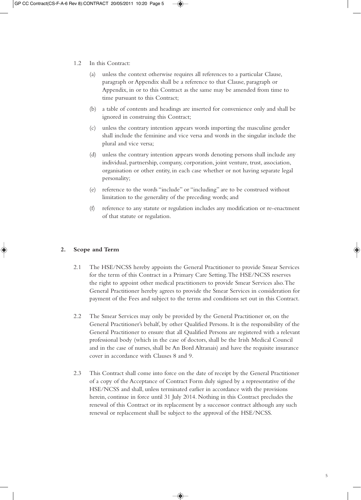- 1.2 In this Contract:
	- (a) unless the context otherwise requires all references to a particular Clause, paragraph or Appendix shall be a reference to that Clause, paragraph or Appendix, in or to this Contract as the same may be amended from time to time pursuant to this Contract;
	- (b) a table of contents and headings are inserted for convenience only and shall be ignored in construing this Contract;
	- (c) unless the contrary intention appears words importing the masculine gender shall include the feminine and vice versa and words in the singular include the plural and vice versa;
	- (d) unless the contrary intention appears words denoting persons shall include any individual, partnership, company, corporation, joint venture, trust, association, organisation or other entity, in each case whether or not having separate legal personality;
	- (e) reference to the words "include" or "including" are to be construed without limitation to the generality of the preceding words; and
	- (f) reference to any statute or regulation includes any modification or re-enactment of that statute or regulation.

# **2. Scope and Term**

- 2.1 The HSE/NCSS hereby appoints the General Practitioner to provide Smear Services for the term of this Contract in a Primary Care Setting.The HSE/NCSS reserves the right to appoint other medical practitioners to provide Smear Services also.The General Practitioner hereby agrees to provide the Smear Services in consideration for payment of the Fees and subject to the terms and conditions set out in this Contract.
- 2.2 The Smear Services may only be provided by the General Practitioner or, on the General Practitioner's behalf, by other Qualified Persons. It is the responsibility of the General Practitioner to ensure that all Qualified Persons are registered with a relevant professional body (which in the case of doctors, shall be the Irish Medical Council and in the case of nurses, shall be An Bord Altranais) and have the requisite insurance cover in accordance with Clauses 8 and 9.
- 2.3 This Contract shall come into force on the date of receipt by the General Practitioner of a copy of the Acceptance of Contract Form duly signed by a representative of the HSE/NCSS and shall, unless terminated earlier in accordance with the provisions herein, continue in force until 31 July 2014. Nothing in this Contract precludes the renewal of this Contract or its replacement by a successor contract although any such renewal or replacement shall be subject to the approval of the HSE/NCSS.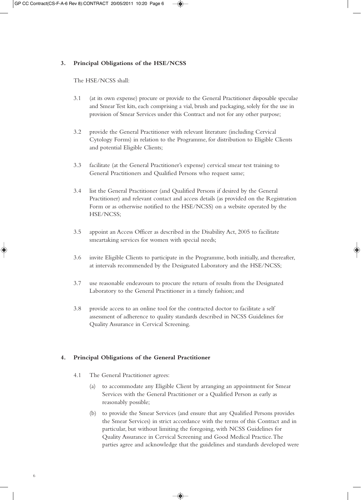# **3. Principal Obligations of the HSE/NCSS**

The HSE/NCSS shall:

- 3.1 (at its own expense) procure or provide to the General Practitioner disposable speculae and SmearTest kits, each comprising a vial, brush and packaging, solely for the use in provision of Smear Services under this Contract and not for any other purpose;
- 3.2 provide the General Practitioner with relevant literature (including Cervical Cytology Forms) in relation to the Programme, for distribution to Eligible Clients and potential Eligible Clients;
- 3.3 facilitate (at the General Practitioner's expense) cervical smear test training to General Practitioners and Qualified Persons who request same;
- 3.4 list the General Practitioner (and Qualified Persons if desired by the General Practitioner) and relevant contact and access details (as provided on the Registration Form or as otherwise notified to the HSE/NCSS) on a website operated by the HSE/NCSS;
- 3.5 appoint an Access Officer as described in the Disability Act, 2005 to facilitate smeartaking services for women with special needs;
- 3.6 invite Eligible Clients to participate in the Programme, both initially, and thereafter, at intervals recommended by the Designated Laboratory and the HSE/NCSS;
- 3.7 use reasonable endeavours to procure the return of results from the Designated Laboratory to the General Practitioner in a timely fashion; and
- 3.8 provide access to an online tool for the contracted doctor to facilitate a self assessment of adherence to quality standards described in NCSS Guidelines for Quality Assurance in Cervical Screening.

# **4. Principal Obligations of the General Practitioner**

4.1 The General Practitioner agrees:

6

- (a) to accommodate any Eligible Client by arranging an appointment for Smear Services with the General Practitioner or a Qualified Person as early as reasonably possible;
- (b) to provide the Smear Services (and ensure that any Qualified Persons provides the Smear Services) in strict accordance with the terms of this Contract and in particular, but without limiting the foregoing, with NCSS Guidelines for Quality Assurance in Cervical Screening and Good Medical Practice.The parties agree and acknowledge that the guidelines and standards developed were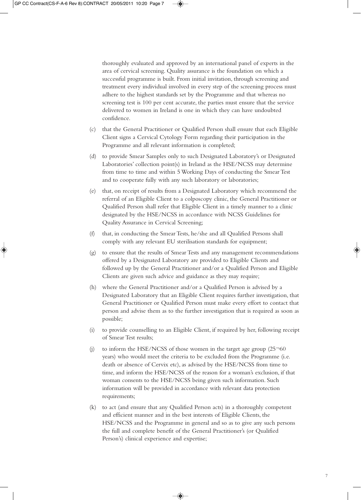thoroughly evaluated and approved by an international panel of experts in the area of cervical screening. Quality assurance is the foundation on which a successful programme is built. From initial invitation, through screening and treatment every individual involved in every step of the screening process must adhere to the highest standards set by the Programme and that whereas no screening test is 100 per cent accurate, the parties must ensure that the service delivered to women in Ireland is one in which they can have undoubted confidence.

- (c) that the General Practitioner or Qualified Person shall ensure that each Eligible Client signs a Cervical Cytology Form regarding their participation in the Programme and all relevant information is completed;
- (d) to provide Smear Samples only to such Designated Laboratory's or Designated Laboratories' collection point(s) in Ireland as the HSE/NCSS may determine from time to time and within 5 Working Days of conducting the Smear Test and to cooperate fully with any such laboratory or laboratories;
- (e) that, on receipt of results from a Designated Laboratory which recommend the referral of an Eligible Client to a colposcopy clinic, the General Practitioner or Qualified Person shall refer that Eligible Client in a timely manner to a clinic designated by the HSE/NCSS in accordance with NCSS Guidelines for Quality Assurance in Cervical Screening;
- (f) that, in conducting the Smear Tests, he/she and all Qualified Persons shall comply with any relevant EU sterilisation standards for equipment;
- (g) to ensure that the results of Smear Tests and any management recommendations offered by a Designated Laboratory are provided to Eligible Clients and followed up by the General Practitioner and/or a Qualified Person and Eligible Clients are given such advice and guidance as they may require;
- (h) where the General Practitioner and/or a Qualified Person is advised by a Designated Laboratory that an Eligible Client requires further investigation, that General Practitioner or Qualified Person must make every effort to contact that person and advise them as to the further investigation that is required as soon as possible;
- (i) to provide counselling to an Eligible Client, if required by her, following receipt of Smear Test results;
- (j) to inform the HSE/NCSS of those women in the target age group  $(25\neg 60)$ years) who would meet the criteria to be excluded from the Programme (i.e. death or absence of Cervix etc), as advised by the HSE/NCSS from time to time, and inform the HSE/NCSS of the reason for a woman's exclusion, if that woman consents to the HSE/NCSS being given such information. Such information will be provided in accordance with relevant data protection requirements;
- (k) to act (and ensure that any Qualified Person acts) in a thoroughly competent and efficient manner and in the best interests of Eligible Clients, the HSE/NCSS and the Programme in general and so as to give any such persons the full and complete benefit of the General Practitioner's (or Qualified Person's) clinical experience and expertise;

 $\bigcirc$ 

7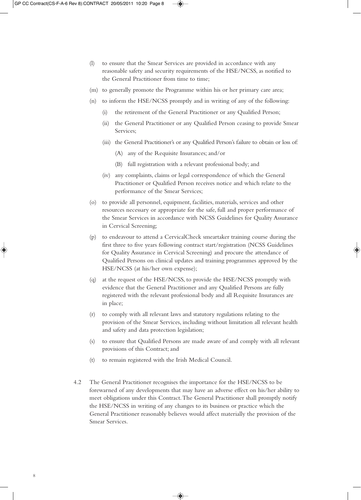- (l) to ensure that the Smear Services are provided in accordance with any reasonable safety and security requirements of the HSE/NCSS, as notified to the General Practitioner from time to time;
- (m) to generally promote the Programme within his or her primary care area;
- (n) to inform the HSE/NCSS promptly and in writing of any of the following:
	- (i) the retirement of the General Practitioner or any Qualified Person;
	- (ii) the General Practitioner or any Qualified Person ceasing to provide Smear Services;
	- (iii) the General Practitioner's or any Qualified Person's failure to obtain or loss of:
		- (A) any of the Requisite Insurances; and/or
		- (B) full registration with a relevant professional body; and
	- (iv) any complaints, claims or legal correspondence of which the General Practitioner or Qualified Person receives notice and which relate to the performance of the Smear Services;
- (o) to provide all personnel, equipment, facilities, materials, services and other resources necessary or appropriate for the safe, full and proper performance of the Smear Services in accordance with NCSS Guidelines for Quality Assurance in Cervical Screening;
- (p) to endeavour to attend a CervicalCheck smeartaker training course during the first three to five years following contract start/registration (NCSS Guidelines for Quality Assurance in Cervical Screening) and procure the attendance of Qualified Persons on clinical updates and training programmes approved by the HSE/NCSS (at his/her own expense);
- (q) at the request of the HSE/NCSS, to provide the HSE/NCSS promptly with evidence that the General Practitioner and any Qualified Persons are fully registered with the relevant professional body and all Requisite Insurances are in place;
- (r) to comply with all relevant laws and statutory regulations relating to the provision of the Smear Services, including without limitation all relevant health and safety and data protection legislation;
- (s) to ensure that Qualified Persons are made aware of and comply with all relevant provisions of this Contract; and
- (t) to remain registered with the Irish Medical Council.

8

4.2 The General Practitioner recognises the importance for the HSE/NCSS to be forewarned of any developments that may have an adverse effect on his/her ability to meet obligations under this Contract.The General Practitioner shall promptly notify the HSE/NCSS in writing of any changes to its business or practice which the General Practitioner reasonably believes would affect materially the provision of the Smear Services.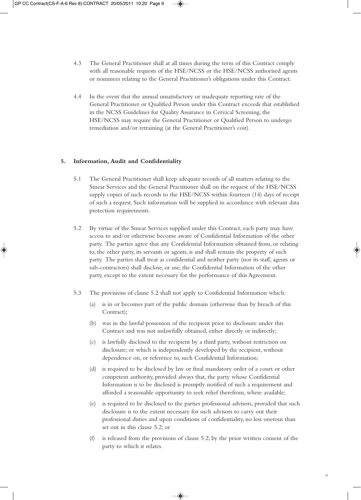- 4.3 The General Practitioner shall at all times during the term of this Contract comply with all reasonable requests of the HSE/NCSS or the HSE/NCSS authorised agents or nominees relating to the General Practitioner's obligations under this Contract.
- 4.4 In the event that the annual unsatisfactory or inadequate reporting rate of the General Practitioner or Qualified Person under this Contract exceeds that established in the NCSS Guidelines for Quality Assurance in Cervical Screening, the HSE/NCSS may require the General Practitioner or Qualified Person to undergo remediation and/or retraining (at the General Practitioner's cost).

# **5. Information, Audit and Confidentiality**

- 5.1 The General Practitioner shall keep adequate records of all matters relating to the Smear Services and the General Practitioner shall on the request of the HSE/NCSS supply copies of such records to the HSE/NCSS within fourteen (14) days of receipt of such a request. Such information will be supplied in accordance with relevant data protection requirements.
- 5.2 By virtue of the Smear Services supplied under this Contract, each party may have access to and/or otherwise become aware of Confidential Information of the other party. The parties agree that any Confidential Information obtained from, or relating to, the other party, its servants or agents, is and shall remain the property of such party. The parties shall treat as confidential and neither party (nor its staff, agents or sub-contractors) shall disclose, or use, the Confidential Information of the other party, except to the extent necessary for the performance of this Agreement.
- 5.3 The provisions of clause 5.2 shall not apply to Confidential Information which:
	- (a) is in or becomes part of the public domain (otherwise than by breach of this Contract);
	- (b) was in the lawful possession of the recipient prior to disclosure under this Contract and was not unlawfully obtained, either directly or indirectly;
	- (c) is lawfully disclosed to the recipient by a third party, without restriction on disclosure; or which is independently developed by the recipient, without dependence on, or reference to, such Confidential Information;
	- (d) is required to be disclosed by law or final mandatory order of a court or other competent authority, provided always that, the party whose Confidential Information is to be disclosed is promptly notified of such a requirement and afforded a reasonable opportunity to seek relief therefrom, where available;
	- (e) is required to be disclosed to the parties professional advisors, provided that such disclosure is to the extent necessary for such advisors to carry out their professional duties and upon conditions of confidentiality, no less onerous than set out in this clause 5.2; or
	- (f) is released from the provisions of clause 5.2, by the prior written consent of the party to which it relates.

◈

 $\overline{9}$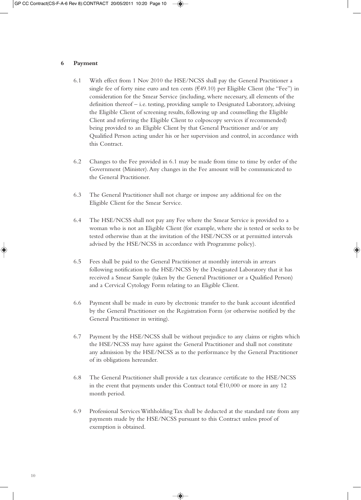#### **6 Payment**

- 6.1 With effect from 1 Nov 2010 the HSE/NCSS shall pay the General Practitioner a single fee of forty nine euro and ten cents (**a**49.10) per Eligible Client (the "Fee") in consideration for the Smear Service (including, where necessary, all elements of the definition thereof – i.e. testing, providing sample to Designated Laboratory, advising the Eligible Client of screening results, following up and counselling the Eligible Client and referring the Eligible Client to colposcopy services if recommended) being provided to an Eligible Client by that General Practitioner and/or any Qualified Person acting under his or her supervision and control, in accordance with this Contract.
- 6.2 Changes to the Fee provided in 6.1 may be made from time to time by order of the Government (Minister).Any changes in the Fee amount will be communicated to the General Practitioner.
- 6.3 The General Practitioner shall not charge or impose any additional fee on the Eligible Client for the Smear Service.
- 6.4 The HSE/NCSS shall not pay any Fee where the Smear Service is provided to a woman who is not an Eligible Client (for example, where she is tested or seeks to be tested otherwise than at the invitation of the HSE/NCSS or at permitted intervals advised by the HSE/NCSS in accordance with Programme policy).
- 6.5 Fees shall be paid to the General Practitioner at monthly intervals in arrears following notification to the HSE/NCSS by the Designated Laboratory that it has received a Smear Sample (taken by the General Practitioner or a Qualified Person) and a Cervical Cytology Form relating to an Eligible Client.
- 6.6 Payment shall be made in euro by electronic transfer to the bank account identified by the General Practitioner on the Registration Form (or otherwise notified by the General Practitioner in writing).
- 6.7 Payment by the HSE/NCSS shall be without prejudice to any claims or rights which the HSE/NCSS may have against the General Practitioner and shall not constitute any admission by the HSE/NCSS as to the performance by the General Practitioner of its obligations hereunder.
- 6.8 The General Practitioner shall provide a tax clearance certificate to the HSE/NCSS in the event that payments under this Contract total  $\epsilon$ 10,000 or more in any 12 month period.
- 6.9 Professional Services Withholding Tax shall be deducted at the standard rate from any payments made by the HSE/NCSS pursuant to this Contract unless proof of exemption is obtained.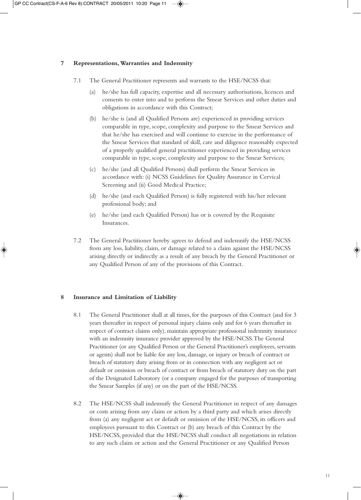#### **7 Representations,Warranties and Indemnity**

- 7.1 The General Practitioner represents and warrants to the HSE/NCSS that:
	- (a) he/she has full capacity, expertise and all necessary authorisations, licences and consents to enter into and to perform the Smear Services and other duties and obligations in accordance with this Contract;
	- (b) he/she is (and all Qualified Persons are) experienced in providing services comparable in type, scope, complexity and purpose to the Smear Services and that he/she has exercised and will continue to exercise in the performance of the Smear Services that standard of skill, care and diligence reasonably expected of a properly qualified general practitioner experienced in providing services comparable in type, scope, complexity and purpose to the Smear Services;
	- (c) he/she (and all Qualified Persons) shall perform the Smear Services in accordance with: (i) NCSS Guidelines for Quality Assurance in Cervical Screening and (ii) Good Medical Practice;
	- (d) he/she (and each Qualified Person) is fully registered with his/her relevant professional body; and
	- (e) he/she (and each Qualified Person) has or is covered by the Requisite Insurances.
- 7.2 The General Practitioner hereby agrees to defend and indemnify the HSE/NCSS from any loss, liability, claim, or damage related to a claim against the HSE/NCSS arising directly or indirectly as a result of any breach by the General Practitioner or any Qualified Person of any of the provisions of this Contract.

#### **8 Insurance and Limitation of Liability**

- 8.1 The General Practitioner shall at all times, for the purposes of this Contract (and for 3 years thereafter in respect of personal injury claims only and for 6 years thereafter in respect of contract claims only), maintain appropriate professional indemnity insurance with an indemnity insurance provider approved by the HSE/NCSS.The General Practitioner (or any Qualified Person or the General Practitioner's employees, servants or agents) shall not be liable for any loss, damage, or injury or breach of contract or breach of statutory duty arising from or in connection with any negligent act or default or omission or breach of contract or from breach of statutory duty on the part of the Designated Laboratory (or a company engaged for the purposes of transporting the Smear Samples (if any) or on the part of the HSE/NCSS.
- 8.2 The HSE/NCSS shall indemnify the General Practitioner in respect of any damages or costs arising from any claim or action by a third party and which arises directly from (a) any negligent act or default or omission of the HSE/NCSS, its officers and employees pursuant to this Contract or (b) any breach of this Contract by the HSE/NCSS, provided that the HSE/NCSS shall conduct all negotiations in relation to any such claim or action and the General Practitioner or any Qualified Person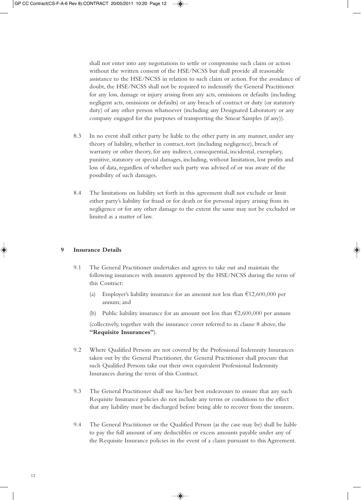shall not enter into any negotiations to settle or compromise such claim or action without the written consent of the HSE/NCSS but shall provide all reasonable assistance to the HSE/NCSS in relation to such claim or action. For the avoidance of doubt, the HSE/NCSS shall not be required to indemnify the General Practitioner for any loss, damage or injury arising from any acts, omissions or defaults (including negligent acts, omissions or defaults) or any breach of contract or duty (or statutory duty) of any other person whatsoever (including any Designated Laboratory or any company engaged for the purposes of transporting the Smear Samples (if any)).

- 8.3 In no event shall either party be liable to the other party in any manner, under any theory of liability, whether in contract, tort (including negligence), breach of warranty or other theory, for any indirect, consequential, incidental, exemplary, punitive, statutory or special damages, including, without limitation, lost profits and loss of data, regardless of whether such party was advised of or was aware of the possibility of such damages.
- 8.4 The limitations on liability set forth in this agreement shall not exclude or limit either party's liability for fraud or for death or for personal injury arising from its negligence or for any other damage to the extent the same may not be excluded or limited as a matter of law.

# **9 Insurance Details**

- 9.1 The General Practitioner undertakes and agrees to take out and maintain the following insurances with insurers approved by the HSE/NCSS during the term of this Contract:
	- (a) Employer's liability insurance for an amount not less than  $\text{\textsterling}12,600,000$  per annum; and
	- (b) Public liability insurance for an amount not less than  $\epsilon$ 2,600,000 per annum

(collectively, together with the insurance cover referred to in clause 8 above, the **"Requisite Insurances"**).

- 9.2 Where Qualified Persons are not covered by the Professional Indemnity Insurances taken out by the General Practitioner, the General Practitioner shall procure that such Qualified Persons take out their own equivalent Professional Indemnity Insurances during the term of this Contract.
- 9.3 The General Practitioner shall use his/her best endeavours to ensure that any such Requisite Insurance policies do not include any terms or conditions to the effect that any liability must be discharged before being able to recover from the insurers.
- 9.4 The General Practitioner or the Qualified Person (as the case may be) shall be liable to pay the full amount of any deductibles or excess amounts payable under any of the Requisite Insurance policies in the event of a claim pursuant to this Agreement.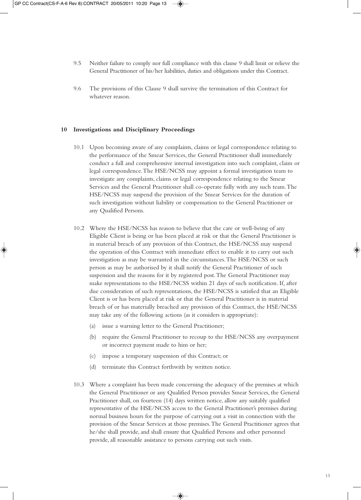- 9.5 Neither failure to comply nor full compliance with this clause 9 shall limit or relieve the General Practitioner of his/her liabilities, duties and obligations under this Contract.
- 9.6 The provisions of this Clause 9 shall survive the termination of this Contract for whatever reason.

# **10 Investigations and Disciplinary Proceedings**

- 10.1 Upon becoming aware of any complaints, claims or legal correspondence relating to the performance of the Smear Services, the General Practitioner shall immediately conduct a full and comprehensive internal investigation into such complaint, claim or legal correspondence.The HSE/NCSS may appoint a formal investigation team to investigate any complaints, claims or legal correspondence relating to the Smear Services and the General Practitioner shall co-operate fully with any such team.The HSE/NCSS may suspend the provision of the Smear Services for the duration of such investigation without liability or compensation to the General Practitioner or any Qualified Persons.
- 10.2 Where the HSE/NCSS has reason to believe that the care or well-being of any Eligible Client is being or has been placed at risk or that the General Practitioner is in material breach of any provision of this Contract, the HSE/NCSS may suspend the operation of this Contract with immediate effect to enable it to carry out such investigation as may be warranted in the circumstances.The HSE/NCSS or such person as may be authorised by it shall notify the General Practitioner of such suspension and the reasons for it by registered post.The General Practitioner may make representations to the HSE/NCSS within 21 days of such notification. If, after due consideration of such representations, the HSE/NCSS is satisfied that an Eligible Client is or has been placed at risk or that the General Practitioner is in material breach of or has materially breached any provision of this Contract, the HSE/NCSS may take any of the following actions (as it considers is appropriate):
	- (a) issue a warning letter to the General Practitioner;
	- (b) require the General Practitioner to recoup to the HSE/NCSS any overpayment or incorrect payment made to him or her;
	- (c) impose a temporary suspension of this Contract; or
	- (d) terminate this Contract forthwith by written notice.
- 10.3 Where a complaint has been made concerning the adequacy of the premises at which the General Practitioner or any Qualified Person provides Smear Services, the General Practitioner shall, on fourteen (14) days written notice, allow any suitably qualified representative of the HSE/NCSS access to the General Practitioner's premises during normal business hours for the purpose of carrying out a visit in connection with the provision of the Smear Services at those premises.The General Practitioner agrees that he/she shall provide, and shall ensure that Qualified Persons and other personnel provide,all reasonable assistance to persons carrying out such visits.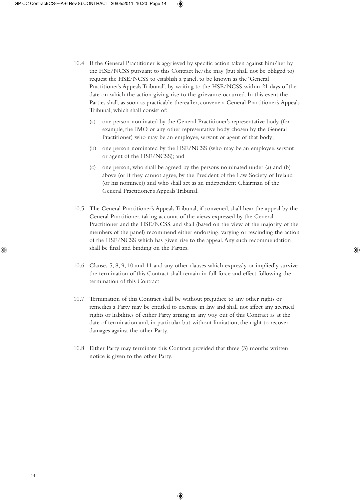- 10.4 If the General Practitioner is aggrieved by specific action taken against him/her by the HSE/NCSS pursuant to this Contract he/she may (but shall not be obliged to) request the HSE/NCSS to establish a panel, to be known as the 'General Practitioner's Appeals Tribunal', by writing to the HSE/NCSS within 21 days of the date on which the action giving rise to the grievance occurred. In this event the Parties shall, as soon as practicable thereafter, convene a General Practitioner's Appeals Tribunal, which shall consist of:
	- one person nominated by the General Practitioner's representative body (for example, the IMO or any other representative body chosen by the General Practitioner) who may be an employee, servant or agent of that body;
	- (b) one person nominated by the HSE/NCSS (who may be an employee, servant or agent of the HSE/NCSS); and
	- (c) one person, who shall be agreed by the persons nominated under (a) and (b) above (or if they cannot agree, by the President of the Law Society of Ireland (or his nominee)) and who shall act as an independent Chairman of the General Practitioner's Appeals Tribunal.
- 10.5 The General Practitioner's Appeals Tribunal, if convened, shall hear the appeal by the General Practitioner, taking account of the views expressed by the General Practitioner and the HSE/NCSS, and shall (based on the view of the majority of the members of the panel) recommend either endorsing, varying or rescinding the action of the HSE/NCSS which has given rise to the appeal.Any such recommendation shall be final and binding on the Parties.
- 10.6 Clauses 5, 8, 9, 10 and 11 and any other clauses which expressly or impliedly survive the termination of this Contract shall remain in full force and effect following the termination of this Contract.
- 10.7 Termination of this Contract shall be without prejudice to any other rights or remedies a Party may be entitled to exercise in law and shall not affect any accrued rights or liabilities of either Party arising in any way out of this Contract as at the date of termination and, in particular but without limitation, the right to recover damages against the other Party.
- 10.8 Either Party may terminate this Contract provided that three (3) months written notice is given to the other Party.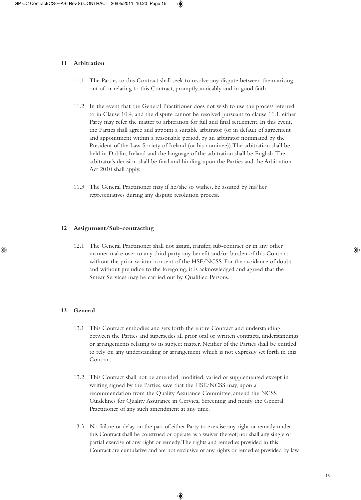## **11 Arbitration**

- 11.1 The Parties to this Contract shall seek to resolve any dispute between them arising out of or relating to this Contract, promptly, amicably and in good faith.
- 11.2 In the event that the General Practitioner does not wish to use the process referred to in Clause 10.4, and the dispute cannot be resolved pursuant to clause 11.1, either Party may refer the matter to arbitration for full and final settlement. In this event, the Parties shall agree and appoint a suitable arbitrator (or in default of agreement and appointment within a reasonable period, by an arbitrator nominated by the President of the Law Society of Ireland (or his nominee)).The arbitration shall be held in Dublin, Ireland and the language of the arbitration shall be English.The arbitrator's decision shall be final and binding upon the Parties and the Arbitration Act 2010 shall apply.
- 11.3 The General Practitioner may if he/she so wishes, be assisted by his/her representatives during any dispute resolution process.

# **12 Assignment/Sub-contracting**

12.1 The General Practitioner shall not assign, transfer, sub-contract or in any other manner make over to any third party any benefit and/or burden of this Contract without the prior written consent of the HSE/NCSS. For the avoidance of doubt and without prejudice to the foregoing, it is acknowledged and agreed that the Smear Services may be carried out by Qualified Persons.

# **13 General**

- 13.1 This Contract embodies and sets forth the entire Contract and understanding between the Parties and supersedes all prior oral or written contracts, understandings or arrangements relating to its subject matter. Neither of the Parties shall be entitled to rely on any understanding or arrangement which is not expressly set forth in this Contract.
- 13.2 This Contract shall not be amended, modified, varied or supplemented except in writing signed by the Parties, save that the HSE/NCSS may, upon a recommendation from the Quality Assurance Committee, amend the NCSS Guidelines for Quality Assurance in Cervical Screening and notify the General Practitioner of any such amendment at any time.
- 13.3 No failure or delay on the part of either Party to exercise any right or remedy under this Contract shall be construed or operate as a waiver thereof; nor shall any single or partial exercise of any right or remedy.The rights and remedies provided in this Contract are cumulative and are not exclusive of any rights or remedies provided by law.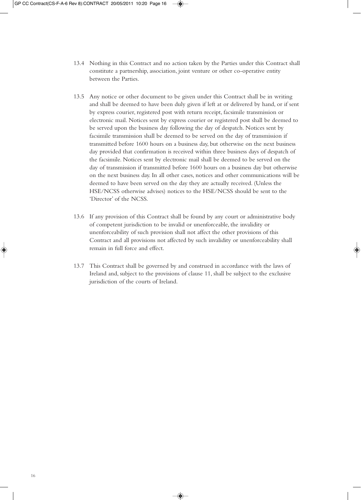- 13.4 Nothing in this Contract and no action taken by the Parties under this Contract shall constitute a partnership, association, joint venture or other co-operative entity between the Parties.
- 13.5 Any notice or other document to be given under this Contract shall be in writing and shall be deemed to have been duly given if left at or delivered by hand, or if sent by express courier, registered post with return receipt, facsimile transmission or electronic mail. Notices sent by express courier or registered post shall be deemed to be served upon the business day following the day of despatch. Notices sent by facsimile transmission shall be deemed to be served on the day of transmission if transmitted before 1600 hours on a business day, but otherwise on the next business day provided that confirmation is received within three business days of despatch of the facsimile. Notices sent by electronic mail shall be deemed to be served on the day of transmission if transmitted before 1600 hours on a business day but otherwise on the next business day. In all other cases, notices and other communications will be deemed to have been served on the day they are actually received. (Unless the HSE/NCSS otherwise advises) notices to the HSE/NCSS should be sent to the 'Director' of the NCSS.
- 13.6 If any provision of this Contract shall be found by any court or administrative body of competent jurisdiction to be invalid or unenforceable, the invalidity or unenforceability of such provision shall not affect the other provisions of this Contract and all provisions not affected by such invalidity or unenforceability shall remain in full force and effect.
- 13.7 This Contract shall be governed by and construed in accordance with the laws of Ireland and, subject to the provisions of clause 11, shall be subject to the exclusive jurisdiction of the courts of Ireland.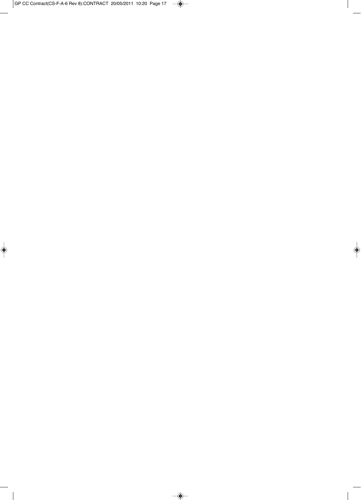GP CC Contract(CS-F-A-6 Rev 8):CONTRACT 20/05/2011 10:20 Page 17 --

 $\Rightarrow$ 

 $\Rightarrow$ 

 $\sim$  1

 $\overline{\bullet}$